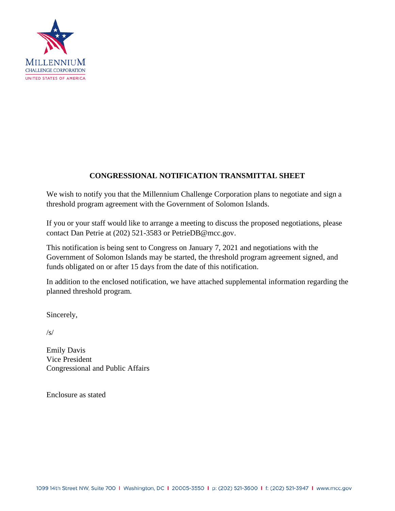

## **CONGRESSIONAL NOTIFICATION TRANSMITTAL SHEET**

We wish to notify you that the Millennium Challenge Corporation plans to negotiate and sign a threshold program agreement with the Government of Solomon Islands.

If you or your staff would like to arrange a meeting to discuss the proposed negotiations, please contact Dan Petrie at (202) 521-3583 or PetrieDB@mcc.gov.

This notification is being sent to Congress on January 7, 2021 and negotiations with the Government of Solomon Islands may be started, the threshold program agreement signed, and funds obligated on or after 15 days from the date of this notification.

In addition to the enclosed notification, we have attached supplemental information regarding the planned threshold program.

Sincerely,

 $/s/$ 

Emily Davis Vice President Congressional and Public Affairs

Enclosure as stated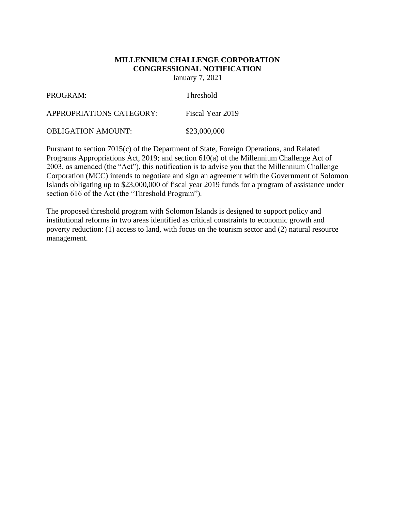# **MILLENNIUM CHALLENGE CORPORATION CONGRESSIONAL NOTIFICATION**

January 7, 2021

| PROGRAM:                  | <b>Threshold</b> |
|---------------------------|------------------|
| APPROPRIATIONS CATEGORY:  | Fiscal Year 2019 |
| <b>OBLIGATION AMOUNT:</b> | \$23,000,000     |

Pursuant to section 7015(c) of the Department of State, Foreign Operations, and Related Programs Appropriations Act, 2019; and section 610(a) of the Millennium Challenge Act of 2003, as amended (the "Act"), this notification is to advise you that the Millennium Challenge Corporation (MCC) intends to negotiate and sign an agreement with the Government of Solomon Islands obligating up to \$23,000,000 of fiscal year 2019 funds for a program of assistance under section 616 of the Act (the "Threshold Program").

The proposed threshold program with Solomon Islands is designed to support policy and institutional reforms in two areas identified as critical constraints to economic growth and poverty reduction: (1) access to land, with focus on the tourism sector and (2) natural resource management.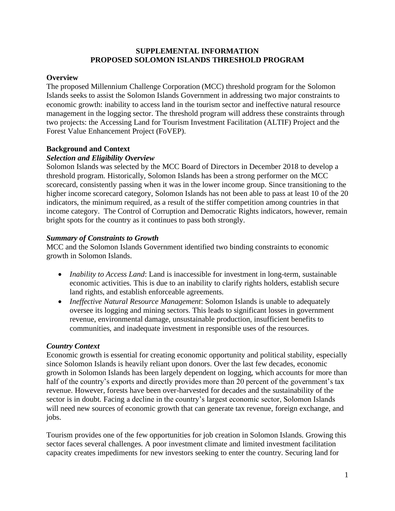#### **SUPPLEMENTAL INFORMATION PROPOSED SOLOMON ISLANDS THRESHOLD PROGRAM**

## **Overview**

The proposed Millennium Challenge Corporation (MCC) threshold program for the Solomon Islands seeks to assist the Solomon Islands Government in addressing two major constraints to economic growth: inability to access land in the tourism sector and ineffective natural resource management in the logging sector. The threshold program will address these constraints through two projects: the Accessing Land for Tourism Investment Facilitation (ALTIF) Project and the Forest Value Enhancement Project (FoVEP).

## **Background and Context**

#### *Selection and Eligibility Overview*

Solomon Islands was selected by the MCC Board of Directors in December 2018 to develop a threshold program. Historically, Solomon Islands has been a strong performer on the MCC scorecard, consistently passing when it was in the lower income group. Since transitioning to the higher income scorecard category, Solomon Islands has not been able to pass at least 10 of the 20 indicators, the minimum required, as a result of the stiffer competition among countries in that income category. The Control of Corruption and Democratic Rights indicators, however, remain bright spots for the country as it continues to pass both strongly.

## *Summary of Constraints to Growth*

MCC and the Solomon Islands Government identified two binding constraints to economic growth in Solomon Islands.

- *Inability to Access Land*: Land is inaccessible for investment in long-term, sustainable economic activities. This is due to an inability to clarify rights holders, establish secure land rights, and establish enforceable agreements.
- *Ineffective Natural Resource Management*: Solomon Islands is unable to adequately oversee its logging and mining sectors. This leads to significant losses in government revenue, environmental damage, unsustainable production, insufficient benefits to communities, and inadequate investment in responsible uses of the resources.

#### *Country Context*

Economic growth is essential for creating economic opportunity and political stability, especially since Solomon Islands is heavily reliant upon donors. Over the last few decades, economic growth in Solomon Islands has been largely dependent on logging, which accounts for more than half of the country's exports and directly provides more than 20 percent of the government's tax revenue. However, forests have been over-harvested for decades and the sustainability of the sector is in doubt. Facing a decline in the country's largest economic sector, Solomon Islands will need new sources of economic growth that can generate tax revenue, foreign exchange, and jobs.

Tourism provides one of the few opportunities for job creation in Solomon Islands. Growing this sector faces several challenges. A poor investment climate and limited investment facilitation capacity creates impediments for new investors seeking to enter the country. Securing land for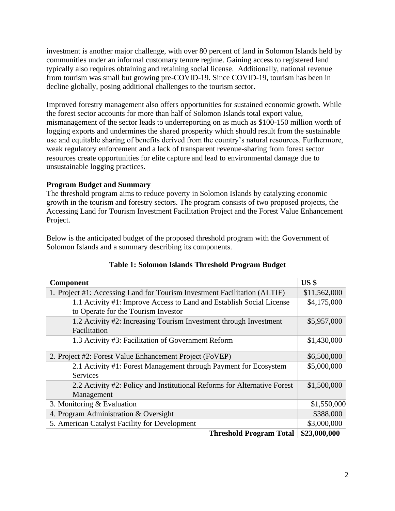investment is another major challenge, with over 80 percent of land in Solomon Islands held by communities under an informal customary tenure regime. Gaining access to registered land typically also requires obtaining and retaining social license. Additionally, national revenue from tourism was small but growing pre-COVID-19. Since COVID-19, tourism has been in decline globally, posing additional challenges to the tourism sector.

Improved forestry management also offers opportunities for sustained economic growth. While the forest sector accounts for more than half of Solomon Islands total export value, mismanagement of the sector leads to underreporting on as much as \$100-150 million worth of logging exports and undermines the shared prosperity which should result from the sustainable use and equitable sharing of benefits derived from the country's natural resources. Furthermore, weak regulatory enforcement and a lack of transparent revenue-sharing from forest sector resources create opportunities for elite capture and lead to environmental damage due to unsustainable logging practices.

## **Program Budget and Summary**

The threshold program aims to reduce poverty in Solomon Islands by catalyzing economic growth in the tourism and forestry sectors. The program consists of two proposed projects, the Accessing Land for Tourism Investment Facilitation Project and the Forest Value Enhancement Project.

Below is the anticipated budget of the proposed threshold program with the Government of Solomon Islands and a summary describing its components.

| Component                                                                 | US <sub>s</sub> |
|---------------------------------------------------------------------------|-----------------|
| 1. Project #1: Accessing Land for Tourism Investment Facilitation (ALTIF) | \$11,562,000    |
| 1.1 Activity #1: Improve Access to Land and Establish Social License      | \$4,175,000     |
| to Operate for the Tourism Investor                                       |                 |
| 1.2 Activity #2: Increasing Tourism Investment through Investment         | \$5,957,000     |
| Facilitation                                                              |                 |
| 1.3 Activity #3: Facilitation of Government Reform                        | \$1,430,000     |
| 2. Project #2: Forest Value Enhancement Project (FoVEP)                   | \$6,500,000     |
| 2.1 Activity #1: Forest Management through Payment for Ecosystem          | \$5,000,000     |
| <b>Services</b>                                                           |                 |
| 2.2 Activity #2: Policy and Institutional Reforms for Alternative Forest  | \$1,500,000     |
| Management                                                                |                 |
| 3. Monitoring $&$ Evaluation                                              | \$1,550,000     |
| 4. Program Administration & Oversight                                     | \$388,000       |
| 5. American Catalyst Facility for Development                             | \$3,000,000     |
| <b>Threshold Program Total</b>                                            | \$23,000,000    |

## **Table 1: Solomon Islands Threshold Program Budget**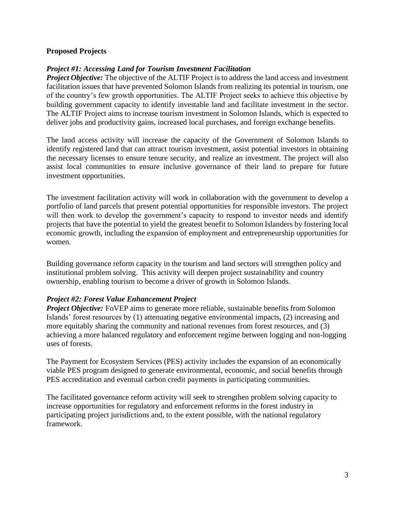## **Proposed Projects**

## *Project #1: Accessing Land for Tourism Investment Facilitation*

*Project Objective:* The objective of the ALTIF Project is to address the land access and investment facilitation issues that have prevented Solomon Islands from realizing its potential in tourism, one of the country's few growth opportunities. The ALTIF Project seeks to achieve this objective by building government capacity to identify investable land and facilitate investment in the sector. The ALTIF Project aims to increase tourism investment in Solomon Islands, which is expected to deliver jobs and productivity gains, increased local purchases, and foreign exchange benefits.

The land access activity will increase the capacity of the Government of Solomon Islands to identify registered land that can attract tourism investment, assist potential investors in obtaining the necessary licenses to ensure tenure security, and realize an investment. The project will also assist local communities to ensure inclusive governance of their land to prepare for future investment opportunities.

The investment facilitation activity will work in collaboration with the government to develop a portfolio of land parcels that present potential opportunities for responsible investors. The project will then work to develop the government's capacity to respond to investor needs and identify projects that have the potential to yield the greatest benefit to Solomon Islanders by fostering local economic growth, including the expansion of employment and entrepreneurship opportunities for women.

Building governance reform capacity in the tourism and land sectors will strengthen policy and institutional problem solving. This activity will deepen project sustainability and country ownership, enabling tourism to become a driver of growth in Solomon Islands.

#### *Project #2: Forest Value Enhancement Project*

*Project Objective:* FoVEP aims to generate more reliable, sustainable benefits from Solomon Islands' forest resources by (1) attenuating negative environmental impacts, (2) increasing and more equitably sharing the community and national revenues from forest resources, and (3) achieving a more balanced regulatory and enforcement regime between logging and non-logging uses of forests.

The Payment for Ecosystem Services (PES) activity includes the expansion of an economically viable PES program designed to generate environmental, economic, and social benefits through PES accreditation and eventual carbon credit payments in participating communities.

The facilitated governance reform activity will seek to strengthen problem solving capacity to increase opportunities for regulatory and enforcement reforms in the forest industry in participating project jurisdictions and, to the extent possible, with the national regulatory framework.